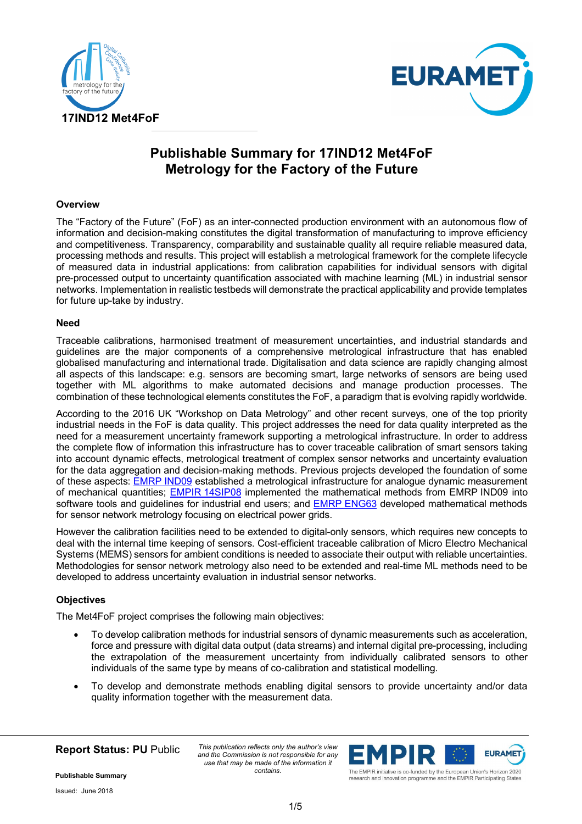



# **Publishable Summary for 17IND12 Met4FoF Metrology for the Factory of the Future**

# **Overview**

The "Factory of the Future" (FoF) as an inter-connected production environment with an autonomous flow of information and decision-making constitutes the digital transformation of manufacturing to improve efficiency and competitiveness. Transparency, comparability and sustainable quality all require reliable measured data, processing methods and results. This project will establish a metrological framework for the complete lifecycle of measured data in industrial applications: from calibration capabilities for individual sensors with digital pre-processed output to uncertainty quantification associated with machine learning (ML) in industrial sensor networks. Implementation in realistic testbeds will demonstrate the practical applicability and provide templates for future up-take by industry.

# **Need**

Traceable calibrations, harmonised treatment of measurement uncertainties, and industrial standards and guidelines are the major components of a comprehensive metrological infrastructure that has enabled globalised manufacturing and international trade. Digitalisation and data science are rapidly changing almost all aspects of this landscape: e.g. sensors are becoming smart, large networks of sensors are being used together with ML algorithms to make automated decisions and manage production processes. The combination of these technological elements constitutes the FoF, a paradigm that is evolving rapidly worldwide.

According to the 2016 UK "Workshop on Data Metrology" and other recent surveys, one of the top priority industrial needs in the FoF is data quality. This project addresses the need for data quality interpreted as the need for a measurement uncertainty framework supporting a metrological infrastructure. In order to address the complete flow of information this infrastructure has to cover traceable calibration of smart sensors taking into account dynamic effects, metrological treatment of complex sensor networks and uncertainty evaluation for the data aggregation and decision-making methods. Previous projects developed the foundation of some of these aspects: EMRP IND09 established a metrological infrastructure for analogue dynamic measurement of mechanical quantities; **EMPIR 14SIP08** implemented the mathematical methods from EMRP IND09 into software tools and guidelines for industrial end users; and EMRP ENG63 developed mathematical methods for sensor network metrology focusing on electrical power grids.

However the calibration facilities need to be extended to digital-only sensors, which requires new concepts to deal with the internal time keeping of sensors. Cost-efficient traceable calibration of Micro Electro Mechanical Systems (MEMS) sensors for ambient conditions is needed to associate their output with reliable uncertainties. Methodologies for sensor network metrology also need to be extended and real-time ML methods need to be developed to address uncertainty evaluation in industrial sensor networks.

# **Objectives**

The Met4FoF project comprises the following main objectives:

- To develop calibration methods for industrial sensors of dynamic measurements such as acceleration, force and pressure with digital data output (data streams) and internal digital pre-processing, including the extrapolation of the measurement uncertainty from individually calibrated sensors to other individuals of the same type by means of co-calibration and statistical modelling.
- To develop and demonstrate methods enabling digital sensors to provide uncertainty and/or data quality information together with the measurement data.

**Report Status: PU** Public

*This publication reflects only the author's view and the Commission is not responsible for any use that may be made of the information it contains.*



research and innovation programme and the EMPIR Participating States

**Publishable Summary** 

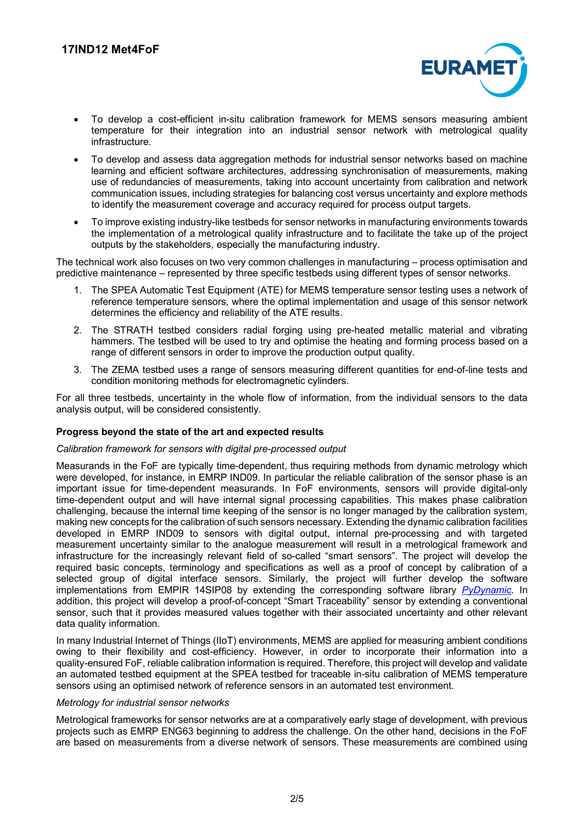

- To develop a cost-efficient in-situ calibration framework for MEMS sensors measuring ambient temperature for their integration into an industrial sensor network with metrological quality infrastructure.
- To develop and assess data aggregation methods for industrial sensor networks based on machine learning and efficient software architectures, addressing synchronisation of measurements, making use of redundancies of measurements, taking into account uncertainty from calibration and network communication issues, including strategies for balancing cost versus uncertainty and explore methods to identify the measurement coverage and accuracy required for process output targets.
- To improve existing industry-like testbeds for sensor networks in manufacturing environments towards the implementation of a metrological quality infrastructure and to facilitate the take up of the project outputs by the stakeholders, especially the manufacturing industry.

The technical work also focuses on two very common challenges in manufacturing – process optimisation and predictive maintenance – represented by three specific testbeds using different types of sensor networks.

- 1. The SPEA Automatic Test Equipment (ATE) for MEMS temperature sensor testing uses a network of reference temperature sensors, where the optimal implementation and usage of this sensor network determines the efficiency and reliability of the ATE results.
- 2. The STRATH testbed considers radial forging using pre-heated metallic material and vibrating hammers. The testbed will be used to try and optimise the heating and forming process based on a range of different sensors in order to improve the production output quality.
- 3. The ZEMA testbed uses a range of sensors measuring different quantities for end-of-line tests and condition monitoring methods for electromagnetic cylinders.

For all three testbeds, uncertainty in the whole flow of information, from the individual sensors to the data analysis output, will be considered consistently.

# **Progress beyond the state of the art and expected results**

#### *Calibration framework for sensors with digital pre-processed output*

Measurands in the FoF are typically time-dependent, thus requiring methods from dynamic metrology which were developed, for instance, in EMRP IND09. In particular the reliable calibration of the sensor phase is an important issue for time-dependent measurands. In FoF environments, sensors will provide digital-only time-dependent output and will have internal signal processing capabilities. This makes phase calibration challenging, because the internal time keeping of the sensor is no longer managed by the calibration system, making new concepts for the calibration of such sensors necessary. Extending the dynamic calibration facilities developed in EMRP IND09 to sensors with digital output, internal pre-processing and with targeted measurement uncertainty similar to the analogue measurement will result in a metrological framework and infrastructure for the increasingly relevant field of so-called "smart sensors". The project will develop the required basic concepts, terminology and specifications as well as a proof of concept by calibration of a selected group of digital interface sensors. Similarly, the project will further develop the software implementations from EMPIR 14SIP08 by extending the corresponding software library *PyDynamic*. In addition, this project will develop a proof-of-concept "Smart Traceability" sensor by extending a conventional sensor, such that it provides measured values together with their associated uncertainty and other relevant data quality information.

In many Industrial Internet of Things (IIoT) environments, MEMS are applied for measuring ambient conditions owing to their flexibility and cost-efficiency. However, in order to incorporate their information into a quality-ensured FoF, reliable calibration information is required. Therefore, this project will develop and validate an automated testbed equipment at the SPEA testbed for traceable in-situ calibration of MEMS temperature sensors using an optimised network of reference sensors in an automated test environment.

#### *Metrology for industrial sensor networks*

Metrological frameworks for sensor networks are at a comparatively early stage of development, with previous projects such as EMRP ENG63 beginning to address the challenge. On the other hand, decisions in the FoF are based on measurements from a diverse network of sensors. These measurements are combined using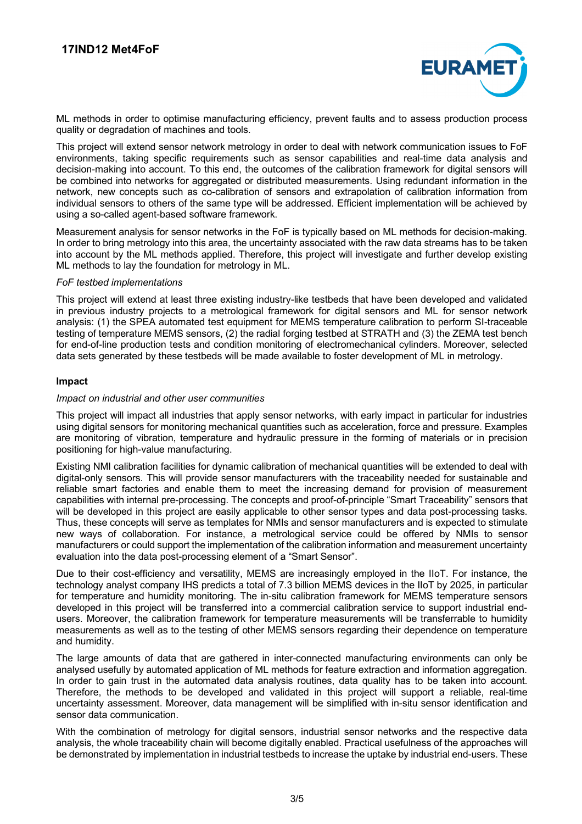

ML methods in order to optimise manufacturing efficiency, prevent faults and to assess production process quality or degradation of machines and tools.

This project will extend sensor network metrology in order to deal with network communication issues to FoF environments, taking specific requirements such as sensor capabilities and real-time data analysis and decision-making into account. To this end, the outcomes of the calibration framework for digital sensors will be combined into networks for aggregated or distributed measurements. Using redundant information in the network, new concepts such as co-calibration of sensors and extrapolation of calibration information from individual sensors to others of the same type will be addressed. Efficient implementation will be achieved by using a so-called agent-based software framework.

Measurement analysis for sensor networks in the FoF is typically based on ML methods for decision-making. In order to bring metrology into this area, the uncertainty associated with the raw data streams has to be taken into account by the ML methods applied. Therefore, this project will investigate and further develop existing ML methods to lay the foundation for metrology in ML.

#### *FoF testbed implementations*

This project will extend at least three existing industry-like testbeds that have been developed and validated in previous industry projects to a metrological framework for digital sensors and ML for sensor network analysis: (1) the SPEA automated test equipment for MEMS temperature calibration to perform SI-traceable testing of temperature MEMS sensors, (2) the radial forging testbed at STRATH and (3) the ZEMA test bench for end-of-line production tests and condition monitoring of electromechanical cylinders. Moreover, selected data sets generated by these testbeds will be made available to foster development of ML in metrology.

# **Impact**

# *Impact on industrial and other user communities*

This project will impact all industries that apply sensor networks, with early impact in particular for industries using digital sensors for monitoring mechanical quantities such as acceleration, force and pressure. Examples are monitoring of vibration, temperature and hydraulic pressure in the forming of materials or in precision positioning for high-value manufacturing.

Existing NMI calibration facilities for dynamic calibration of mechanical quantities will be extended to deal with digital-only sensors. This will provide sensor manufacturers with the traceability needed for sustainable and reliable smart factories and enable them to meet the increasing demand for provision of measurement capabilities with internal pre-processing. The concepts and proof-of-principle "Smart Traceability" sensors that will be developed in this project are easily applicable to other sensor types and data post-processing tasks. Thus, these concepts will serve as templates for NMIs and sensor manufacturers and is expected to stimulate new ways of collaboration. For instance, a metrological service could be offered by NMIs to sensor manufacturers or could support the implementation of the calibration information and measurement uncertainty evaluation into the data post-processing element of a "Smart Sensor".

Due to their cost-efficiency and versatility, MEMS are increasingly employed in the IIoT. For instance, the technology analyst company IHS predicts a total of 7.3 billion MEMS devices in the IIoT by 2025, in particular for temperature and humidity monitoring. The in-situ calibration framework for MEMS temperature sensors developed in this project will be transferred into a commercial calibration service to support industrial endusers. Moreover, the calibration framework for temperature measurements will be transferrable to humidity measurements as well as to the testing of other MEMS sensors regarding their dependence on temperature and humidity.

The large amounts of data that are gathered in inter-connected manufacturing environments can only be analysed usefully by automated application of ML methods for feature extraction and information aggregation. In order to gain trust in the automated data analysis routines, data quality has to be taken into account. Therefore, the methods to be developed and validated in this project will support a reliable, real-time uncertainty assessment. Moreover, data management will be simplified with in-situ sensor identification and sensor data communication.

With the combination of metrology for digital sensors, industrial sensor networks and the respective data analysis, the whole traceability chain will become digitally enabled. Practical usefulness of the approaches will be demonstrated by implementation in industrial testbeds to increase the uptake by industrial end-users. These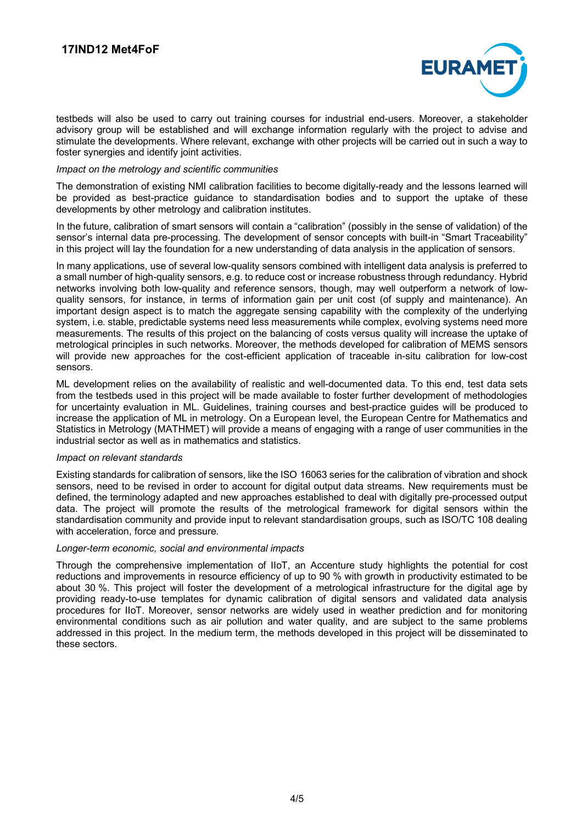

testbeds will also be used to carry out training courses for industrial end-users. Moreover, a stakeholder advisory group will be established and will exchange information regularly with the project to advise and stimulate the developments. Where relevant, exchange with other projects will be carried out in such a way to foster synergies and identify joint activities.

#### *Impact on the metrology and scientific communities*

The demonstration of existing NMI calibration facilities to become digitally-ready and the lessons learned will be provided as best-practice guidance to standardisation bodies and to support the uptake of these developments by other metrology and calibration institutes.

In the future, calibration of smart sensors will contain a "calibration" (possibly in the sense of validation) of the sensor's internal data pre-processing. The development of sensor concepts with built-in "Smart Traceability" in this project will lay the foundation for a new understanding of data analysis in the application of sensors.

In many applications, use of several low-quality sensors combined with intelligent data analysis is preferred to a small number of high-quality sensors, e.g. to reduce cost or increase robustness through redundancy. Hybrid networks involving both low-quality and reference sensors, though, may well outperform a network of lowquality sensors, for instance, in terms of information gain per unit cost (of supply and maintenance). An important design aspect is to match the aggregate sensing capability with the complexity of the underlying system, i.e. stable, predictable systems need less measurements while complex, evolving systems need more measurements. The results of this project on the balancing of costs versus quality will increase the uptake of metrological principles in such networks. Moreover, the methods developed for calibration of MEMS sensors will provide new approaches for the cost-efficient application of traceable in-situ calibration for low-cost sensors.

ML development relies on the availability of realistic and well-documented data. To this end, test data sets from the testbeds used in this project will be made available to foster further development of methodologies for uncertainty evaluation in ML. Guidelines, training courses and best-practice guides will be produced to increase the application of ML in metrology. On a European level, the European Centre for Mathematics and Statistics in Metrology (MATHMET) will provide a means of engaging with a range of user communities in the industrial sector as well as in mathematics and statistics.

#### *Impact on relevant standards*

Existing standards for calibration of sensors, like the ISO 16063 series for the calibration of vibration and shock sensors, need to be revised in order to account for digital output data streams. New requirements must be defined, the terminology adapted and new approaches established to deal with digitally pre-processed output data. The project will promote the results of the metrological framework for digital sensors within the standardisation community and provide input to relevant standardisation groups, such as ISO/TC 108 dealing with acceleration, force and pressure.

#### *Longer-term economic, social and environmental impacts*

Through the comprehensive implementation of IIoT, an Accenture study highlights the potential for cost reductions and improvements in resource efficiency of up to 90 % with growth in productivity estimated to be about 30 %. This project will foster the development of a metrological infrastructure for the digital age by providing ready-to-use templates for dynamic calibration of digital sensors and validated data analysis procedures for IIoT. Moreover, sensor networks are widely used in weather prediction and for monitoring environmental conditions such as air pollution and water quality, and are subject to the same problems addressed in this project. In the medium term, the methods developed in this project will be disseminated to these sectors.